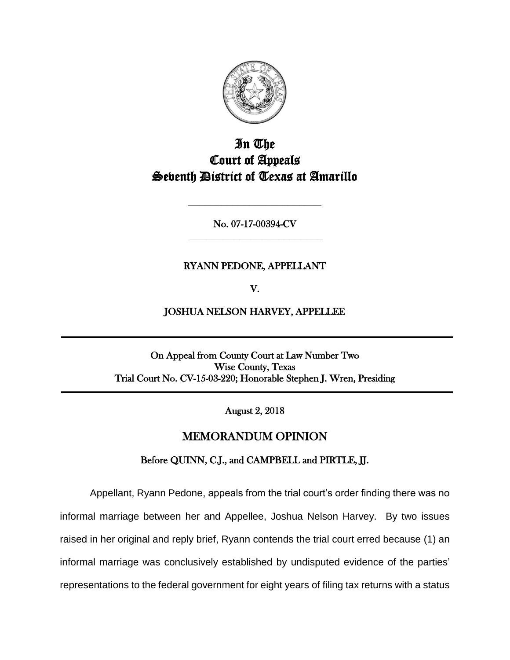

# In The Court of Appeals Seventh District of Texas at Amarillo

No. 07-17-00394-CV **\_\_\_\_\_\_\_\_\_\_\_\_\_\_\_\_\_\_\_\_\_\_\_\_**

**\_\_\_\_\_\_\_\_\_\_\_\_\_\_\_\_\_\_\_\_\_\_\_\_**

## RYANN PEDONE, APPELLANT

V.

JOSHUA NELSON HARVEY, APPELLEE

On Appeal from County Court at Law Number Two Wise County, Texas Trial Court No. CV-15-03-220; Honorable Stephen J. Wren, Presiding

August 2, 2018

# MEMORANDUM OPINION

Before QUINN, C.J., and CAMPBELL and PIRTLE, JJ.

Appellant, Ryann Pedone, appeals from the trial court's order finding there was no informal marriage between her and Appellee, Joshua Nelson Harvey. By two issues raised in her original and reply brief, Ryann contends the trial court erred because (1) an informal marriage was conclusively established by undisputed evidence of the parties' representations to the federal government for eight years of filing tax returns with a status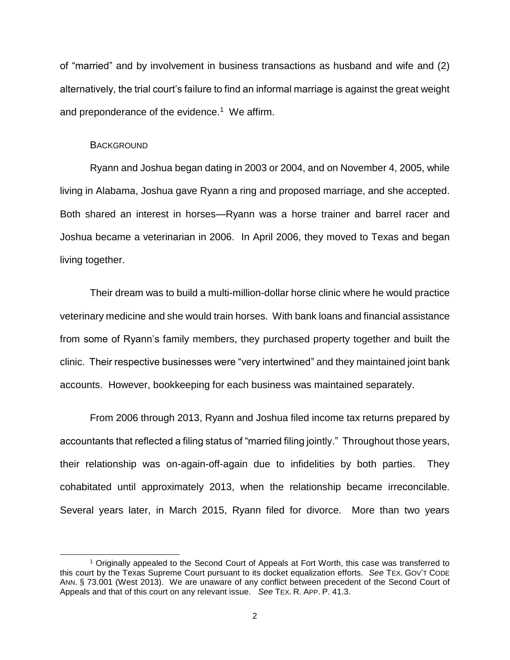of "married" and by involvement in business transactions as husband and wife and (2) alternatively, the trial court's failure to find an informal marriage is against the great weight and preponderance of the evidence. $1$  We affirm.

#### **BACKGROUND**

l

Ryann and Joshua began dating in 2003 or 2004, and on November 4, 2005, while living in Alabama, Joshua gave Ryann a ring and proposed marriage, and she accepted. Both shared an interest in horses—Ryann was a horse trainer and barrel racer and Joshua became a veterinarian in 2006. In April 2006, they moved to Texas and began living together.

Their dream was to build a multi-million-dollar horse clinic where he would practice veterinary medicine and she would train horses. With bank loans and financial assistance from some of Ryann's family members, they purchased property together and built the clinic. Their respective businesses were "very intertwined" and they maintained joint bank accounts. However, bookkeeping for each business was maintained separately.

From 2006 through 2013, Ryann and Joshua filed income tax returns prepared by accountants that reflected a filing status of "married filing jointly." Throughout those years, their relationship was on-again-off-again due to infidelities by both parties. They cohabitated until approximately 2013, when the relationship became irreconcilable. Several years later, in March 2015, Ryann filed for divorce. More than two years

<sup>1</sup> Originally appealed to the Second Court of Appeals at Fort Worth, this case was transferred to this court by the Texas Supreme Court pursuant to its docket equalization efforts. *See* TEX. GOV'T CODE ANN. § 73.001 (West 2013). We are unaware of any conflict between precedent of the Second Court of Appeals and that of this court on any relevant issue. *See* TEX. R. APP. P. 41.3.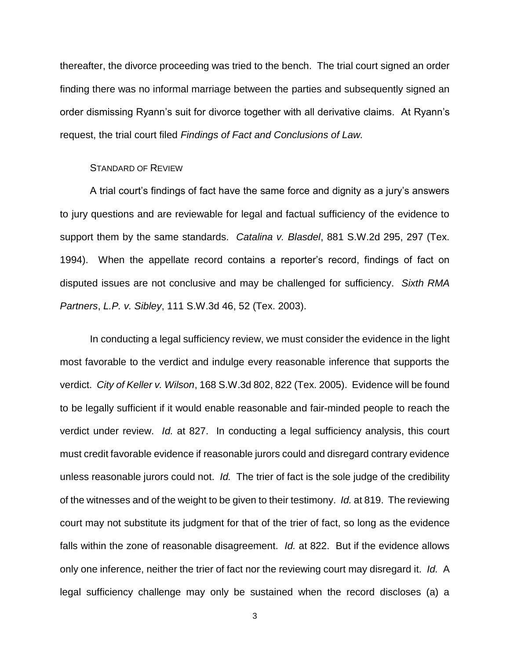thereafter, the divorce proceeding was tried to the bench. The trial court signed an order finding there was no informal marriage between the parties and subsequently signed an order dismissing Ryann's suit for divorce together with all derivative claims. At Ryann's request, the trial court filed *Findings of Fact and Conclusions of Law.*

#### STANDARD OF REVIEW

A trial court's findings of fact have the same force and dignity as a jury's answers to jury questions and are reviewable for legal and factual sufficiency of the evidence to support them by the same standards. *Catalina v. Blasdel*, 881 S.W.2d 295, 297 (Tex. 1994). When the appellate record contains a reporter's record, findings of fact on disputed issues are not conclusive and may be challenged for sufficiency. *Sixth RMA Partners*, *L.P. v. Sibley*, 111 S.W.3d 46, 52 (Tex. 2003).

In conducting a legal sufficiency review, we must consider the evidence in the light most favorable to the verdict and indulge every reasonable inference that supports the verdict. *City of Keller v. Wilson*, 168 S.W.3d 802, 822 (Tex. 2005). Evidence will be found to be legally sufficient if it would enable reasonable and fair-minded people to reach the verdict under review. *Id.* at 827. In conducting a legal sufficiency analysis, this court must credit favorable evidence if reasonable jurors could and disregard contrary evidence unless reasonable jurors could not. *Id.* The trier of fact is the sole judge of the credibility of the witnesses and of the weight to be given to their testimony. *Id.* at 819. The reviewing court may not substitute its judgment for that of the trier of fact, so long as the evidence falls within the zone of reasonable disagreement. *Id.* at 822. But if the evidence allows only one inference, neither the trier of fact nor the reviewing court may disregard it. *Id.* A legal sufficiency challenge may only be sustained when the record discloses (a) a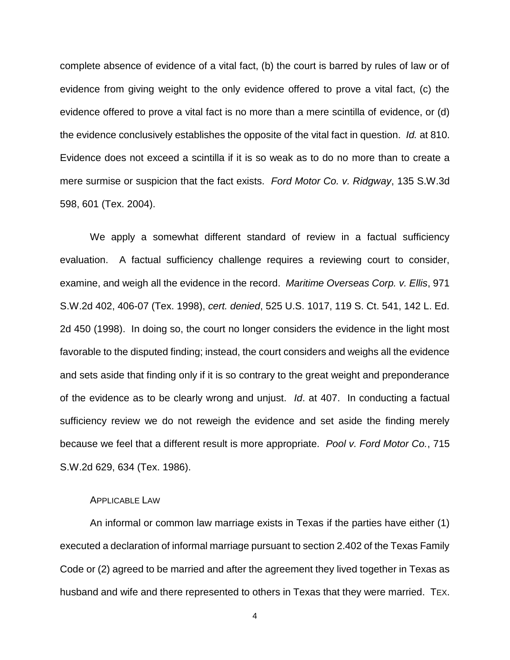complete absence of evidence of a vital fact, (b) the court is barred by rules of law or of evidence from giving weight to the only evidence offered to prove a vital fact, (c) the evidence offered to prove a vital fact is no more than a mere scintilla of evidence, or (d) the evidence conclusively establishes the opposite of the vital fact in question. *Id.* at 810. Evidence does not exceed a scintilla if it is so weak as to do no more than to create a mere surmise or suspicion that the fact exists. *Ford Motor Co. v. Ridgway*, 135 S.W.3d 598, 601 (Tex. 2004).

We apply a somewhat different standard of review in a factual sufficiency evaluation. A factual sufficiency challenge requires a reviewing court to consider, examine, and weigh all the evidence in the record. *Maritime Overseas Corp. v. Ellis*, 971 S.W.2d 402, 406-07 (Tex. 1998), *cert. denied*, 525 U.S. 1017, 119 S. Ct. 541, 142 L. Ed. 2d 450 (1998). In doing so, the court no longer considers the evidence in the light most favorable to the disputed finding; instead, the court considers and weighs all the evidence and sets aside that finding only if it is so contrary to the great weight and preponderance of the evidence as to be clearly wrong and unjust. *Id*. at 407. In conducting a factual sufficiency review we do not reweigh the evidence and set aside the finding merely because we feel that a different result is more appropriate. *Pool v. Ford Motor Co.*, 715 S.W.2d 629, 634 (Tex. 1986).

### APPLICABLE LAW

An informal or common law marriage exists in Texas if the parties have either (1) executed a declaration of informal marriage pursuant to section 2.402 of the Texas Family Code or (2) agreed to be married and after the agreement they lived together in Texas as husband and wife and there represented to others in Texas that they were married. TEX.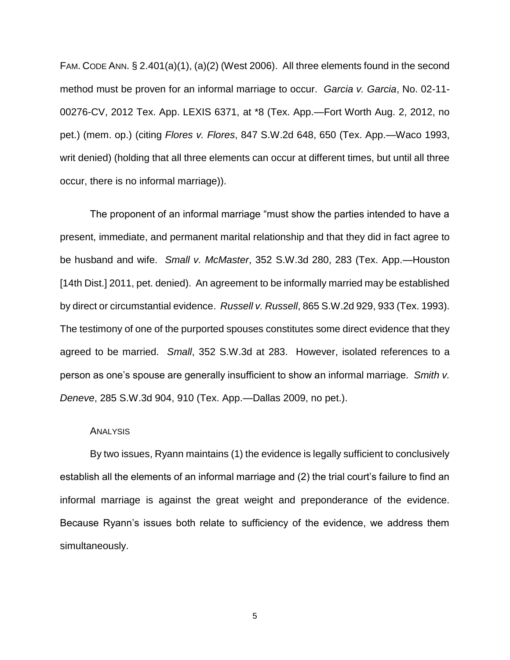FAM. CODE ANN. § 2.401(a)(1), (a)(2) (West 2006). All three elements found in the second method must be proven for an informal marriage to occur. *Garcia v. Garcia*, No. 02-11- 00276-CV, 2012 Tex. App. LEXIS 6371, at \*8 (Tex. App.—Fort Worth Aug. 2, 2012, no pet.) (mem. op.) (citing *Flores v. Flores*, 847 S.W.2d 648, 650 (Tex. App.—Waco 1993, writ denied) (holding that all three elements can occur at different times, but until all three occur, there is no informal marriage)).

The proponent of an informal marriage "must show the parties intended to have a present, immediate, and permanent marital relationship and that they did in fact agree to be husband and wife. *Small v. McMaster*, 352 S.W.3d 280, 283 (Tex. App.—Houston [14th Dist.] 2011, pet. denied). An agreement to be informally married may be established by direct or circumstantial evidence. *Russell v. Russell*, 865 S.W.2d 929, 933 (Tex. 1993). The testimony of one of the purported spouses constitutes some direct evidence that they agreed to be married. *Small*, 352 S.W.3d at 283. However, isolated references to a person as one's spouse are generally insufficient to show an informal marriage. *Smith v. Deneve*, 285 S.W.3d 904, 910 (Tex. App.—Dallas 2009, no pet.).

#### **ANALYSIS**

By two issues, Ryann maintains (1) the evidence is legally sufficient to conclusively establish all the elements of an informal marriage and (2) the trial court's failure to find an informal marriage is against the great weight and preponderance of the evidence. Because Ryann's issues both relate to sufficiency of the evidence, we address them simultaneously.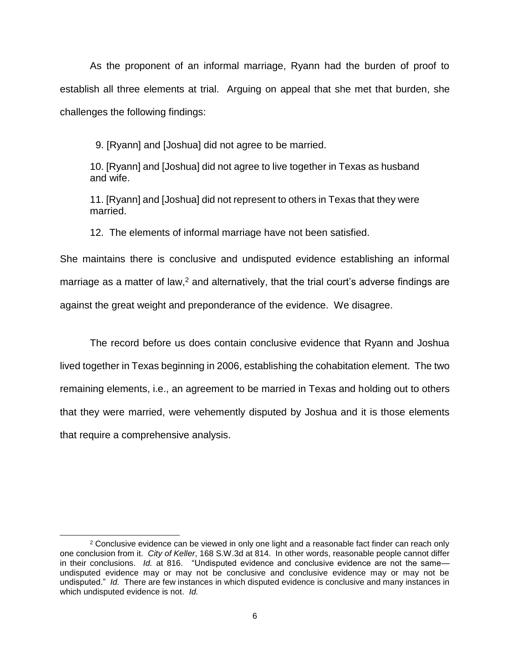As the proponent of an informal marriage, Ryann had the burden of proof to establish all three elements at trial. Arguing on appeal that she met that burden, she challenges the following findings:

9. [Ryann] and [Joshua] did not agree to be married.

10. [Ryann] and [Joshua] did not agree to live together in Texas as husband and wife.

11. [Ryann] and [Joshua] did not represent to others in Texas that they were married.

12. The elements of informal marriage have not been satisfied.

She maintains there is conclusive and undisputed evidence establishing an informal marriage as a matter of law,<sup>2</sup> and alternatively, that the trial court's adverse findings are against the great weight and preponderance of the evidence. We disagree.

The record before us does contain conclusive evidence that Ryann and Joshua lived together in Texas beginning in 2006, establishing the cohabitation element. The two remaining elements, i.e., an agreement to be married in Texas and holding out to others that they were married, were vehemently disputed by Joshua and it is those elements that require a comprehensive analysis.

<sup>&</sup>lt;sup>2</sup> Conclusive evidence can be viewed in only one light and a reasonable fact finder can reach only one conclusion from it. *City of Keller*, 168 S.W.3d at 814. In other words, reasonable people cannot differ in their conclusions. *Id.* at 816. "Undisputed evidence and conclusive evidence are not the same undisputed evidence may or may not be conclusive and conclusive evidence may or may not be undisputed." *Id.* There are few instances in which disputed evidence is conclusive and many instances in which undisputed evidence is not. *Id.*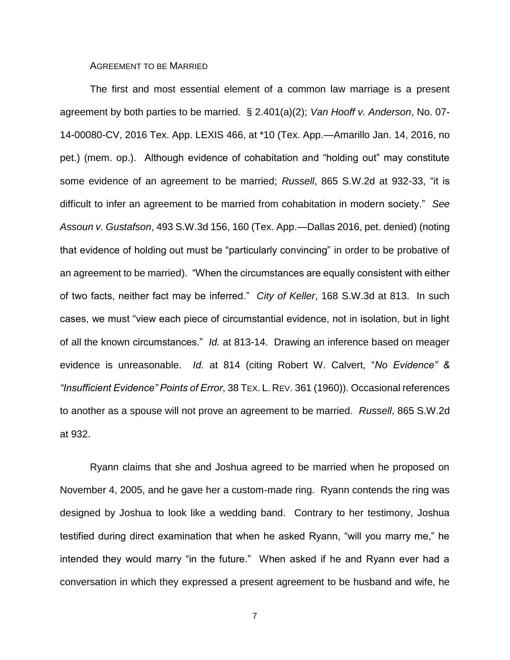AGREEMENT TO BE MARRIED

The first and most essential element of a common law marriage is a present agreement by both parties to be married. § 2.401(a)(2); *Van Hooff v. Anderson*, No. 07- 14-00080-CV, 2016 Tex. App. LEXIS 466, at \*10 (Tex. App.—Amarillo Jan. 14, 2016, no pet.) (mem. op.). Although evidence of cohabitation and "holding out" may constitute some evidence of an agreement to be married; *Russell*, 865 S.W.2d at 932-33, "it is difficult to infer an agreement to be married from cohabitation in modern society." *See Assoun v. Gustafson*, 493 S.W.3d 156, 160 (Tex. App.—Dallas 2016, pet. denied) (noting that evidence of holding out must be "particularly convincing" in order to be probative of an agreement to be married). "When the circumstances are equally consistent with either of two facts, neither fact may be inferred." *City of Keller*, 168 S.W.3d at 813. In such cases, we must "view each piece of circumstantial evidence, not in isolation, but in light of all the known circumstances." *Id.* at 813-14. Drawing an inference based on meager evidence is unreasonable. *Id.* at 814 (citing Robert W. Calvert, "*No Evidence" & "Insufficient Evidence" Points of Error*, 38 TEX. L. REV. 361 (1960)). Occasional references to another as a spouse will not prove an agreement to be married. *Russell*, 865 S.W.2d at 932.

Ryann claims that she and Joshua agreed to be married when he proposed on November 4, 2005, and he gave her a custom-made ring. Ryann contends the ring was designed by Joshua to look like a wedding band. Contrary to her testimony, Joshua testified during direct examination that when he asked Ryann, "will you marry me," he intended they would marry "in the future." When asked if he and Ryann ever had a conversation in which they expressed a present agreement to be husband and wife, he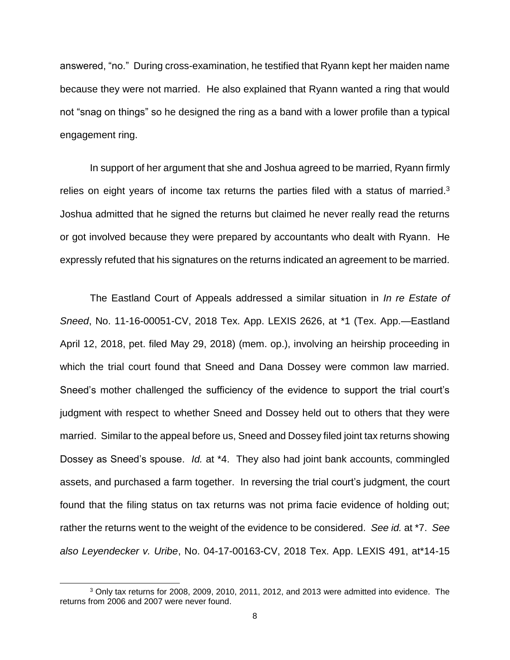answered, "no." During cross-examination, he testified that Ryann kept her maiden name because they were not married. He also explained that Ryann wanted a ring that would not "snag on things" so he designed the ring as a band with a lower profile than a typical engagement ring.

In support of her argument that she and Joshua agreed to be married, Ryann firmly relies on eight years of income tax returns the parties filed with a status of married. $3$ Joshua admitted that he signed the returns but claimed he never really read the returns or got involved because they were prepared by accountants who dealt with Ryann. He expressly refuted that his signatures on the returns indicated an agreement to be married.

The Eastland Court of Appeals addressed a similar situation in *In re Estate of Sneed*, No. 11-16-00051-CV, 2018 Tex. App. LEXIS 2626, at \*1 (Tex. App.—Eastland April 12, 2018, pet. filed May 29, 2018) (mem. op.), involving an heirship proceeding in which the trial court found that Sneed and Dana Dossey were common law married. Sneed's mother challenged the sufficiency of the evidence to support the trial court's judgment with respect to whether Sneed and Dossey held out to others that they were married. Similar to the appeal before us, Sneed and Dossey filed joint tax returns showing Dossey as Sneed's spouse. *Id.* at \*4. They also had joint bank accounts, commingled assets, and purchased a farm together. In reversing the trial court's judgment, the court found that the filing status on tax returns was not prima facie evidence of holding out; rather the returns went to the weight of the evidence to be considered. *See id.* at \*7. *See also Leyendecker v. Uribe*, No. 04-17-00163-CV, 2018 Tex. App. LEXIS 491, at\*14-15

<sup>3</sup> Only tax returns for 2008, 2009, 2010, 2011, 2012, and 2013 were admitted into evidence. The returns from 2006 and 2007 were never found.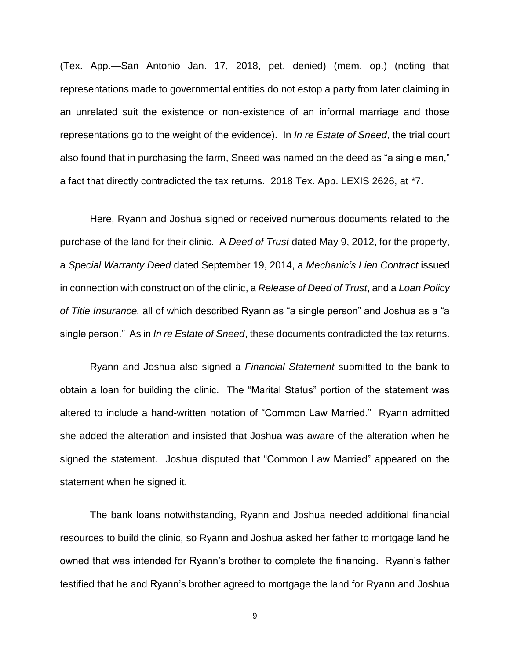(Tex. App.—San Antonio Jan. 17, 2018, pet. denied) (mem. op.) (noting that representations made to governmental entities do not estop a party from later claiming in an unrelated suit the existence or non-existence of an informal marriage and those representations go to the weight of the evidence). In *In re Estate of Sneed*, the trial court also found that in purchasing the farm, Sneed was named on the deed as "a single man," a fact that directly contradicted the tax returns. 2018 Tex. App. LEXIS 2626, at \*7.

Here, Ryann and Joshua signed or received numerous documents related to the purchase of the land for their clinic. A *Deed of Trust* dated May 9, 2012, for the property, a *Special Warranty Deed* dated September 19, 2014, a *Mechanic's Lien Contract* issued in connection with construction of the clinic, a *Release of Deed of Trust*, and a *Loan Policy of Title Insurance,* all of which described Ryann as "a single person" and Joshua as a "a single person." As in *In re Estate of Sneed*, these documents contradicted the tax returns.

Ryann and Joshua also signed a *Financial Statement* submitted to the bank to obtain a loan for building the clinic. The "Marital Status" portion of the statement was altered to include a hand-written notation of "Common Law Married." Ryann admitted she added the alteration and insisted that Joshua was aware of the alteration when he signed the statement. Joshua disputed that "Common Law Married" appeared on the statement when he signed it.

The bank loans notwithstanding, Ryann and Joshua needed additional financial resources to build the clinic, so Ryann and Joshua asked her father to mortgage land he owned that was intended for Ryann's brother to complete the financing. Ryann's father testified that he and Ryann's brother agreed to mortgage the land for Ryann and Joshua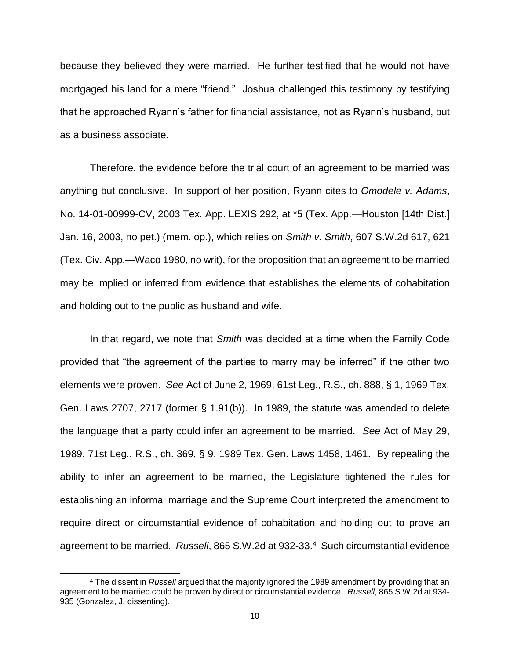because they believed they were married. He further testified that he would not have mortgaged his land for a mere "friend." Joshua challenged this testimony by testifying that he approached Ryann's father for financial assistance, not as Ryann's husband, but as a business associate.

Therefore, the evidence before the trial court of an agreement to be married was anything but conclusive. In support of her position, Ryann cites to *Omodele v. Adams*, No. 14-01-00999-CV, 2003 Tex. App. LEXIS 292, at \*5 (Tex. App.—Houston [14th Dist.] Jan. 16, 2003, no pet.) (mem. op.), which relies on *Smith v. Smith*, 607 S.W.2d 617, 621 (Tex. Civ. App.—Waco 1980, no writ), for the proposition that an agreement to be married may be implied or inferred from evidence that establishes the elements of cohabitation and holding out to the public as husband and wife.

In that regard, we note that *Smith* was decided at a time when the Family Code provided that "the agreement of the parties to marry may be inferred" if the other two elements were proven. *See* Act of June 2, 1969, 61st Leg., R.S., ch. 888, § 1, 1969 Tex. Gen. Laws 2707, 2717 (former § 1.91(b)). In 1989, the statute was amended to delete the language that a party could infer an agreement to be married. *See* Act of May 29, 1989, 71st Leg., R.S., ch. 369, § 9, 1989 Tex. Gen. Laws 1458, 1461. By repealing the ability to infer an agreement to be married, the Legislature tightened the rules for establishing an informal marriage and the Supreme Court interpreted the amendment to require direct or circumstantial evidence of cohabitation and holding out to prove an agreement to be married. *Russell*, 865 S.W.2d at 932-33. 4 Such circumstantial evidence

<sup>4</sup> The dissent in *Russell* argued that the majority ignored the 1989 amendment by providing that an agreement to be married could be proven by direct or circumstantial evidence. *Russell*, 865 S.W.2d at 934- 935 (Gonzalez, J. dissenting).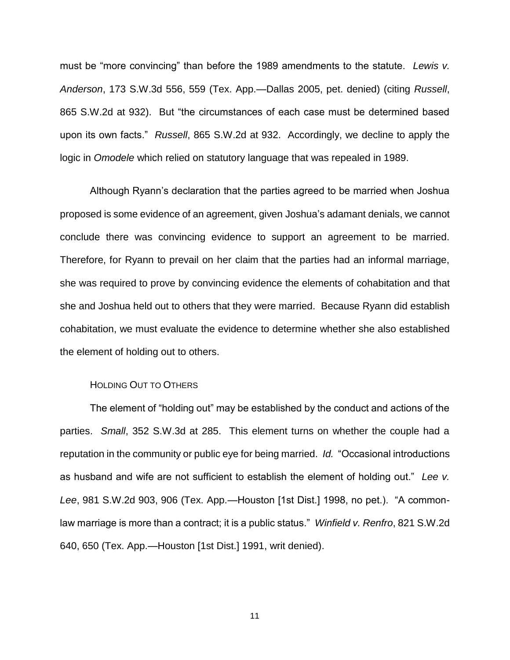must be "more convincing" than before the 1989 amendments to the statute. *Lewis v. Anderson*, 173 S.W.3d 556, 559 (Tex. App.—Dallas 2005, pet. denied) (citing *Russell*, 865 S.W.2d at 932). But "the circumstances of each case must be determined based upon its own facts." *Russell*, 865 S.W.2d at 932. Accordingly, we decline to apply the logic in *Omodele* which relied on statutory language that was repealed in 1989.

Although Ryann's declaration that the parties agreed to be married when Joshua proposed is some evidence of an agreement, given Joshua's adamant denials, we cannot conclude there was convincing evidence to support an agreement to be married. Therefore, for Ryann to prevail on her claim that the parties had an informal marriage, she was required to prove by convincing evidence the elements of cohabitation and that she and Joshua held out to others that they were married. Because Ryann did establish cohabitation, we must evaluate the evidence to determine whether she also established the element of holding out to others.

#### HOLDING OUT TO OTHERS

The element of "holding out" may be established by the conduct and actions of the parties. *Small*, 352 S.W.3d at 285. This element turns on whether the couple had a reputation in the community or public eye for being married. *Id.* "Occasional introductions as husband and wife are not sufficient to establish the element of holding out." *Lee v. Lee*, 981 S.W.2d 903, 906 (Tex. App.—Houston [1st Dist.] 1998, no pet.). "A commonlaw marriage is more than a contract; it is a public status." *Winfield v. Renfro*, 821 S.W.2d 640, 650 (Tex. App.—Houston [1st Dist.] 1991, writ denied).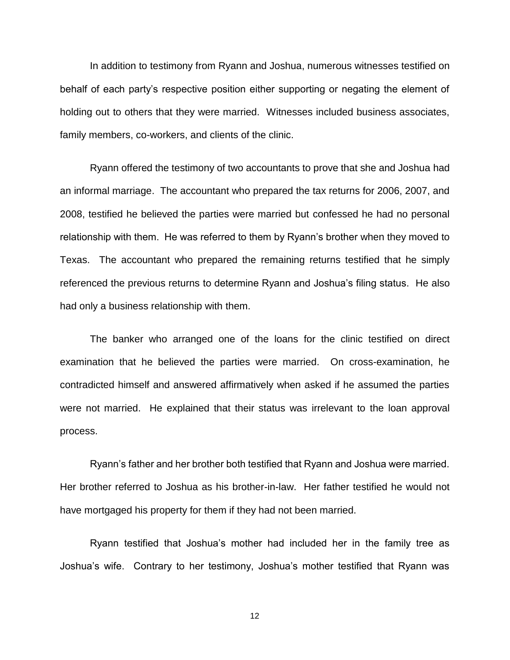In addition to testimony from Ryann and Joshua, numerous witnesses testified on behalf of each party's respective position either supporting or negating the element of holding out to others that they were married. Witnesses included business associates, family members, co-workers, and clients of the clinic.

Ryann offered the testimony of two accountants to prove that she and Joshua had an informal marriage. The accountant who prepared the tax returns for 2006, 2007, and 2008, testified he believed the parties were married but confessed he had no personal relationship with them. He was referred to them by Ryann's brother when they moved to Texas. The accountant who prepared the remaining returns testified that he simply referenced the previous returns to determine Ryann and Joshua's filing status. He also had only a business relationship with them.

The banker who arranged one of the loans for the clinic testified on direct examination that he believed the parties were married. On cross-examination, he contradicted himself and answered affirmatively when asked if he assumed the parties were not married. He explained that their status was irrelevant to the loan approval process.

Ryann's father and her brother both testified that Ryann and Joshua were married. Her brother referred to Joshua as his brother-in-law. Her father testified he would not have mortgaged his property for them if they had not been married.

Ryann testified that Joshua's mother had included her in the family tree as Joshua's wife. Contrary to her testimony, Joshua's mother testified that Ryann was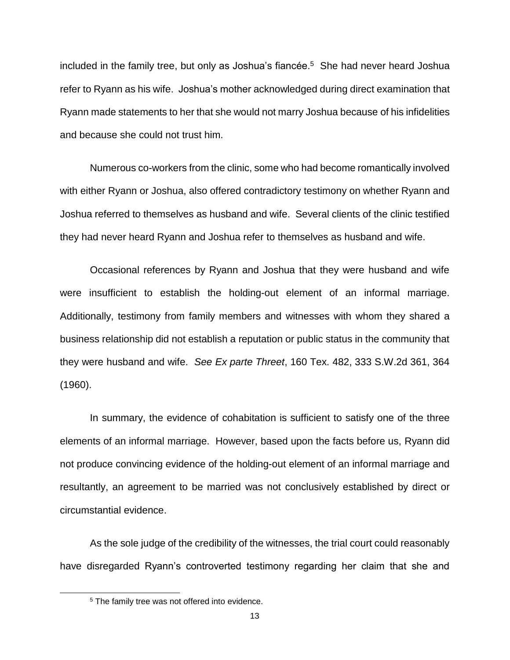included in the family tree, but only as Joshua's fiancée. 5 She had never heard Joshua refer to Ryann as his wife. Joshua's mother acknowledged during direct examination that Ryann made statements to her that she would not marry Joshua because of his infidelities and because she could not trust him.

Numerous co-workers from the clinic, some who had become romantically involved with either Ryann or Joshua, also offered contradictory testimony on whether Ryann and Joshua referred to themselves as husband and wife. Several clients of the clinic testified they had never heard Ryann and Joshua refer to themselves as husband and wife.

Occasional references by Ryann and Joshua that they were husband and wife were insufficient to establish the holding-out element of an informal marriage. Additionally, testimony from family members and witnesses with whom they shared a business relationship did not establish a reputation or public status in the community that they were husband and wife. *See Ex parte Threet*, 160 Tex. 482, 333 S.W.2d 361, 364 (1960).

In summary, the evidence of cohabitation is sufficient to satisfy one of the three elements of an informal marriage. However, based upon the facts before us, Ryann did not produce convincing evidence of the holding-out element of an informal marriage and resultantly, an agreement to be married was not conclusively established by direct or circumstantial evidence.

As the sole judge of the credibility of the witnesses, the trial court could reasonably have disregarded Ryann's controverted testimony regarding her claim that she and

<sup>&</sup>lt;sup>5</sup> The family tree was not offered into evidence.